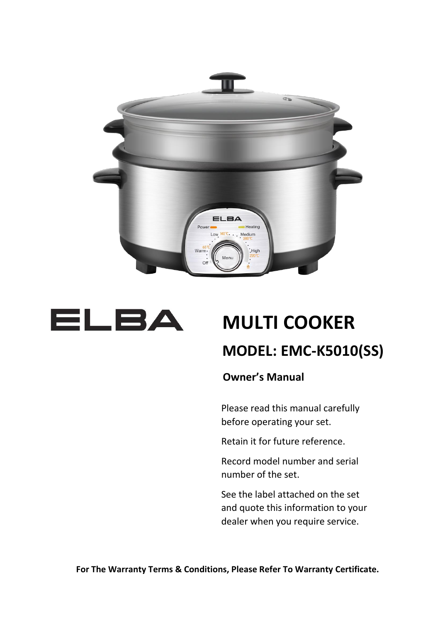



# **MULTI COOKER MODEL: EMC-K5010(SS)**

 **Owner's Manual**

Please read this manual carefully before operating your set.

Retain it for future reference.

Record model number and serial number of the set.

See the label attached on the set and quote this information to your dealer when you require service.

**For The Warranty Terms & Conditions, Please Refer To Warranty Certificate.**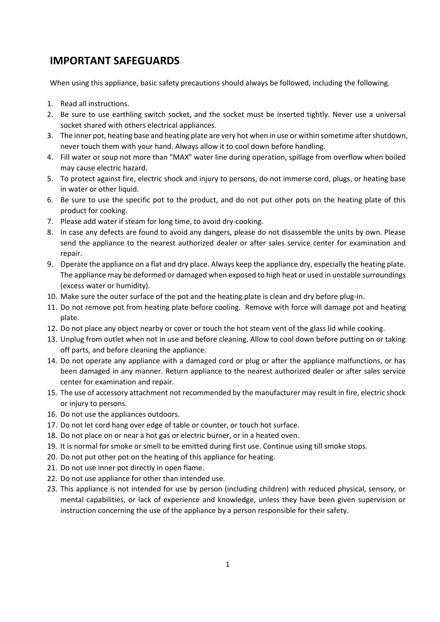#### **IMPORTANT SAFEGUARDS**

When using this appliance, basic safety precautions should always be followed, including the following.

- 1. Read all instructions.
- 2. Be sure to use earthling switch socket, and the socket must be inserted tightly. Never use a universal socket shared with others electrical appliances.
- 3. The inner pot, heating base and heating plate are very hot when in use or within sometime after shutdown, never touch them with your hand. Always allow it to cool down before handling.
- 4. Fill water or soup not more than "MAX" water line during operation, spillage from overflow when boiled may cause electric hazard.
- 5. To protect against fire, electric shock and injury to persons, do not immerse cord, plugs, or heating base in water or other liquid.
- 6. Be sure to use the specific pot to the product, and do not put other pots on the heating plate of this product for cooking.
- 7. Please add water if steam for long time, to avoid dry-cooking.
- 8. In case any defects are found to avoid any dangers, please do not disassemble the units by own. Please send the appliance to the nearest authorized dealer or after sales service center for examination and repair.
- 9. Operate the appliance on a flat and dry place. Always keep the appliance dry, especially the heating plate. The appliance may be deformed or damaged when exposed to high heat or used in unstable surroundings (excess water or humidity).
- 10. Make sure the outer surface of the pot and the heating plate is clean and dry before plug-in.
- 11. Do not remove pot from heating plate before cooling. Remove with force will damage pot and heating plate.
- 12. Do not place any object nearby or cover or touch the hot steam vent of the glass lid while cooking.
- 13. Unplug from outlet when not in use and before cleaning. Allow to cool down before putting on or taking off parts, and before cleaning the appliance.
- 14. Do not operate any appliance with a damaged cord or plug or after the appliance malfunctions, or has been damaged in any manner. Return appliance to the nearest authorized dealer or after sales service center for examination and repair.
- 15. The use of accessory attachment not recommended by the manufacturer may result in fire, electric shock or injury to persons.
- 16. Do not use the appliances outdoors.
- 17. Do not let cord hang over edge of table or counter, or touch hot surface.
- 18. Do not place on or near a hot gas or electric burner, or in a heated oven.
- 19. It is normal for smoke or smell to be emitted during first use. Continue using till smoke stops.
- 20. Do not put other pot on the heating of this appliance for heating.
- 21. Do not use inner pot directly in open flame.
- 22. Do not use appliance for other than intended use.
- 23. This appliance is not intended for use by person (including children) with reduced physical, sensory, or mental capabilities, or lack of experience and knowledge, unless they have been given supervision or instruction concerning the use of the appliance by a person responsible for their safety.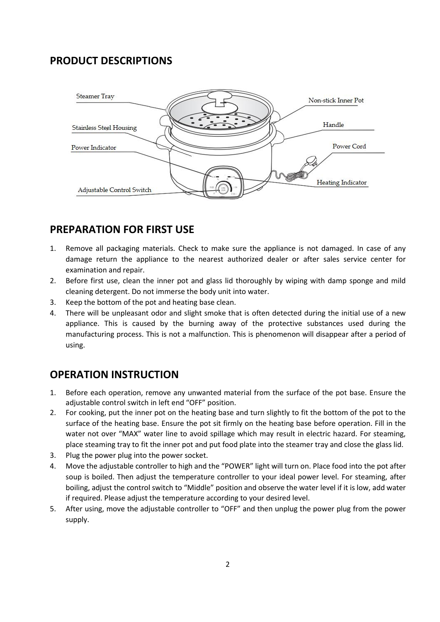# **PRODUCT DESCRIPTIONS**



## **PREPARATION FOR FIRST USE**

- 1. Remove all packaging materials. Check to make sure the appliance is not damaged. In case of any damage return the appliance to the nearest authorized dealer or after sales service center for examination and repair.
- 2. Before first use, clean the inner pot and glass lid thoroughly by wiping with damp sponge and mild cleaning detergent. Do not immerse the body unit into water.
- 3. Keep the bottom of the pot and heating base clean.
- 4. There will be unpleasant odor and slight smoke that is often detected during the initial use of a new appliance. This is caused by the burning away of the protective substances used during the manufacturing process. This is not a malfunction. This is phenomenon will disappear after a period of using.

#### **OPERATION INSTRUCTION**

- 1. Before each operation, remove any unwanted material from the surface of the pot base. Ensure the adjustable control switch in left end "OFF" position.
- 2. For cooking, put the inner pot on the heating base and turn slightly to fit the bottom of the pot to the surface of the heating base. Ensure the pot sit firmly on the heating base before operation. Fill in the water not over "MAX" water line to avoid spillage which may result in electric hazard. For steaming, place steaming tray to fit the inner pot and put food plate into the steamer tray and close the glass lid.
- 3. Plug the power plug into the power socket.
- 4. Move the adjustable controller to high and the "POWER" light will turn on. Place food into the pot after soup is boiled. Then adjust the temperature controller to your ideal power level. For steaming, after boiling, adjust the control switch to "Middle" position and observe the water level if it is low, add water if required. Please adjust the temperature according to your desired level.
- 5. After using, move the adjustable controller to "OFF" and then unplug the power plug from the power supply.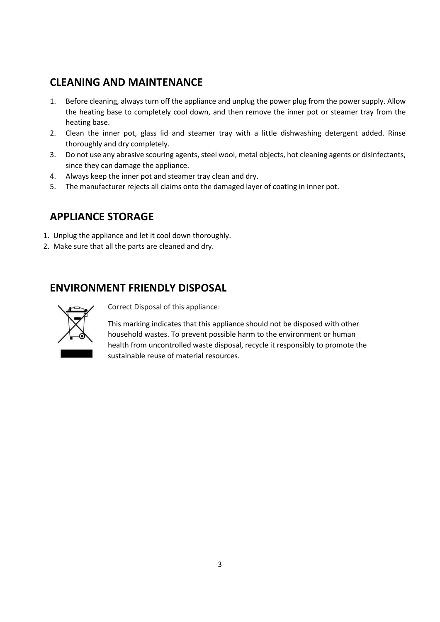## **CLEANING AND MAINTENANCE**

- 1. Before cleaning, always turn off the appliance and unplug the power plug from the power supply. Allow the heating base to completely cool down, and then remove the inner pot or steamer tray from the heating base.
- 2. Clean the inner pot, glass lid and steamer tray with a little dishwashing detergent added. Rinse thoroughly and dry completely.
- 3. Do not use any abrasive scouring agents, steel wool, metal objects, hot cleaning agents or disinfectants, since they can damage the appliance.
- 4. Always keep the inner pot and steamer tray clean and dry.
- 5. The manufacturer rejects all claims onto the damaged layer of coating in inner pot.

# **APPLIANCE STORAGE**

- 1. Unplug the appliance and let it cool down thoroughly.
- 2. Make sure that all the parts are cleaned and dry.

## **ENVIRONMENT FRIENDLY DISPOSAL**



Correct Disposal of this appliance:

This marking indicates that this appliance should not be disposed with other household wastes. To prevent possible harm to the environment or human health from uncontrolled waste disposal, recycle it responsibly to promote the sustainable reuse of material resources.